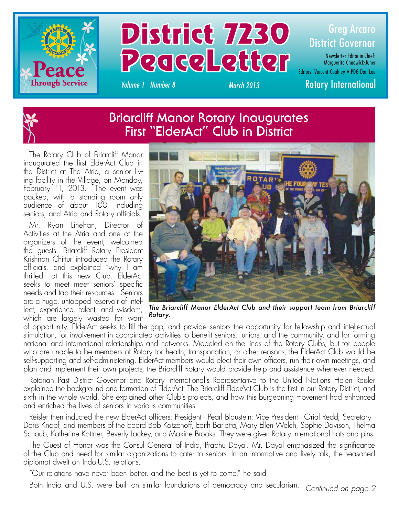



Newsletter Editor-in-Chief: Marguerite Chadwick-Juner

Editors: Vincent Coakley • PDG Don Lee

*Volume 1 Number 8 March 2013* Rotary International



The Rotary Club of Briarcliff Manor inaugurated the first ElderAct Club in the District at The Atria, a senior living facility in the Village, on Monday, February 11, 2013. The event was packed, with a standing room only audience of about 100, including seniors, and Atria and Rotary officials.

Mr. Ryan Linehan, Director of Activities at the Atria and one of the organizers of the event, welcomed the guests. Briarcliff Rotary President Krishnan Chittur introduced the Rotary officials, and explained "why I am thrilled" at this new Club. ElderAct seeks to meet meet seniors' specific needs and tap their resources. Seniors are a huge, untapped reservoir of intellect, experience, talent, and wisdom, which are largely wasted for want



*The Briarcliff Manor ElderAct Club and their support team from Briarcliff Rotary.*

of opportunity. ElderAct seeks to fill the gap, and provide seniors the opportunity for fellowship and intellectual stimulation, for involvement in coordinated activities to benefit seniors, juniors, and the community, and for forming national and international relationships and networks. Modeled on the lines of the Rotary Clubs, but for people who are unable to be members of Rotary for health, transportation, or other reasons, the ElderAct Club would be self-supporting and self-administering. ElderAct members would elect their own officers, run their own meetings, and plan and implement their own projects; the Briarcliff Rotary would provide help and assistence whenever needed.

Rotarian Past District Governor and Rotary International's Representative to the United Nations Helen Reisler explained the background and formation of ElderAct. The Briarcliff ElderAct Club is the first in our Rotary District, and sixth in the whole world. She explained other Club's projects, and how this burgeoning movement had enhanced and enriched the lives of seniors in various communities.

Reisler then inducted the new ElderAct officers: President - Pearl Blaustein; Vice President - Orial Redd; Secretary - Doris Knopf, and members of the board Bob Katzenoff, Edith Barletta, Mary Ellen Welch, Sophie Davison, Thelma Schaub, Katherine Kottner, Beverly Lackey, and Maxine Brooks. They were given Rotary International hats and pins.

The Guest of Honor was the Consul General of India, Prabhu Dayal. Mr. Dayal emphasized the significance of the Club and need for similar organizations to cater to seniors. In an informative and lively talk, the seasoned diplomat dwelt on Indo-U.S. relations.

"Our relations have never been better, and the best is yet to come," he said.

Both India and U.S. were built on similar foundations of democracy and secularism. *Continued on page 2*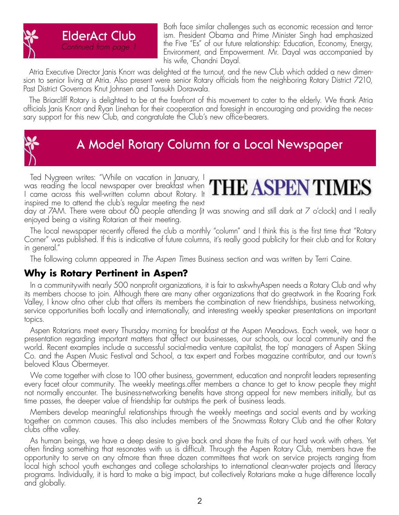

Both face similar challenges such as economic recession and terrorism. President Obama and Prime Minister Singh had emphasized the Five "Es" of our future relationship: Education, Economy, Energy, Environment, and Empowerment. Mr. Dayal was accompanied by his wife, Chandni Dayal.

Atria Executive Director Janis Knorr was delighted at the turnout, and the new Club which added a new dimension to senior living at Atria. Also present were senior Rotary officials from the neighboring Rotary District 7210, Past District Governors Knut Johnsen and Tansukh Dorawala.

The Briarcliff Rotary is delighted to be at the forefront of this movement to cater to the elderly. We thank Atria officials Janis Knorr and Ryan Linehan for their cooperation and foresight in encouraging and providing the necessary support for this new Club, and congratulate the Club's new office-bearers.



### **A Model Rotary Column for a Local Newspaper**

Ted Nygreen writes: "While on vacation in January, I  $\frac{1}{2}$  come cross this well-written column chout Rotary It  $\frac{1}{2}$   $\frac{1}{2}$   $\frac{1}{2}$   $\frac{1}{2}$   $\frac{1}{2}$   $\frac{1}{2}$   $\frac{1}{2}$   $\frac{1}{2}$   $\frac{1}{2}$   $\frac{1}{2}$   $\frac{1}{2}$   $\frac{1}{2}$   $\frac{1}{2}$   $\frac{1}{2}$   $\frac{1}{2}$   $\frac{1}{2}$ I came across this well-written column about Rotary. It inspired me to attend the club's regular meeting the next



day at 7AM. There were about 60 people attending (it was snowing and still dark at 7 o'clock) and I really enjoyed being a visiting Rotarian at their meeting.

The local newspaper recently offered the club a monthly "column" and I think this is the first time that "Rotary Corner" was published. If this is indicative of future columns, it's really good publicity for their club and for Rotary in general."

The following column appeared in *The Aspen Times* Business section and was written by Terri Caine.

#### **Why is Rotary Pertinent in Aspen?**

In a communitywith nearly 500 nonprofit organizations, it is fair to askwhyAspen needs a Rotary Club and why its members choose to join. Although there are many other organizations that do greatwork in the Roaring Fork Valley, I know ofno other club that offers its members the combination of new friendships, business networking, service opportunities both locally and internationally, and interesting weekly speaker presentations on important topics.

Aspen Rotarians meet every Thursday morning for breakfast at the Aspen Meadows. Each week, we hear a presentation regarding important matters that affect our businesses, our schools, our local community and the world. Recent examples include a successful social-media venture capitalist, the top' managers of Aspen Skiing Co. and the Aspen Music Festival and School, a tax expert and Forbes magazine contributor, and our town's beloved Klaus Obermeyer.

We come together with close to 100 other business, government, education and nonprofit leaders representing every facet ofour community. The weekly meetings.offer members a chance to get to know people they might not normally encounter. The business-networking benefits have strong appeal for new members initially, but as time passes, the deeper value of friendship far outstrips the perk of business leads.

Members develop meaningful relationships through the weekly meetings and social events and by working together on common causes. This also includes members of the Snowmass Rotary Club and the other Rotary clubs ofthe valley.

As human beings, we have a deep desire to give back and share the fruits of our hard work with others. Yet often finding something that resonates with us is difficult. Through the Aspen Rotary Club, members have the opportunity to serve on any ofmore than three dozen committees that work on service projects ranging from local high school youth exchanges and college scholarships to international clean-water projects and literacy programs. Individually, it is hard to make a big impact, but collectively Rotarians make a huge difference locally and globally.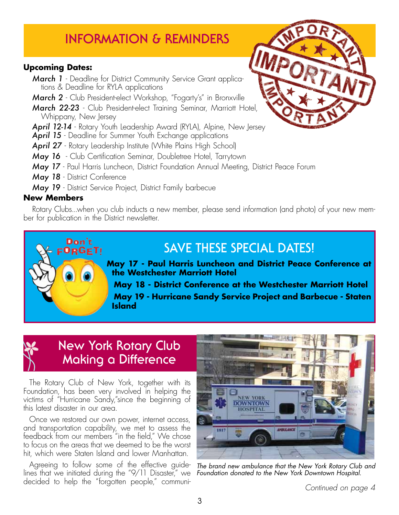# **INFORMATION & REMINDERS**

#### **Upcoming Dates:**

- *March 1* Deadline for District Community Service Grant applications & Deadline for RYLA applications
- *March 2* Club President-elect Workshop, "Fogarty's" in Bronxville
- *March 22-23* Club President-elect Training Seminar, Marriott Hotel, Whippany, New Jersey
- *April 12-14* Rotary Youth Leadership Award (RYLA), Alpine, New Jersey
- April 15 Deadline for Summer Youth Exchange applications
- **April 27** Rotary Leadership Institute (White Plains High School)
- *May 16* Club Certification Seminar, Doubletree Hotel, Tarrytown
- *May 17* Paul Harris Luncheon, District Foundation Annual Meeting, District Peace Forum
- *May 18* District Conference

Don't FORGET!

*May 19* - District Service Project, District Family barbecue

#### **New Members**

Rotary Clubs...when you club inducts a new member, please send information (and photo) of your new member for publication in the District newsletter.

### **SAVE THESE SPECIAL DATES!**

**May 17 - Paul Harris Luncheon and District Peace Conference at the Westchester Marriott Hotel**

**May 18 - District Conference at the Westchester Marriott Hotel May 19 - Hurricane Sandy Service Project and Barbecue - Staten Island**

### **New York Rotary Club Making a Difference**

The Rotary Club of New York, together with its Foundation, has been very involved in helping the victims of "Hurricane Sandy,"since the beginning of this latest disaster in our area.

Once we restored our own power, internet access, and transportation capability, we met to assess the feedback from our members "in the field," We chose to focus on the areas that we deemed to be the worst hit, which were Staten Island and lower Manhattan.

Agreeing to follow some of the effective guidelines that we initiated during the "9/11 Disaster," we decided to help the "forgotten people," communi-



*The brand new ambulance that the New York Rotary Club and Foundation donated to the New York Downtown Hospital.*



3

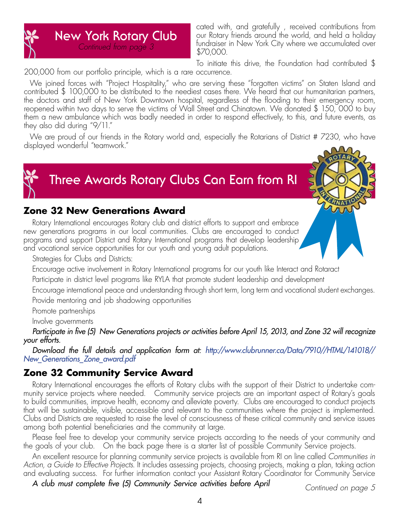# **New York Rotary Club** *Continued from page 3*

cated with, and gratefully , received contributions from our Rotary friends around the world, and held a holiday fundraiser in New York City where we accumulated over \$70,000.

To initiate this drive, the Foundation had contributed \$ 200,000 from our portfolio principle, which is a rare occurrence.

We joined forces with "Project Hospitality," who are serving these "forgotten victims" on Staten Island and contributed \$ 100,000 to be distributed to the neediest cases there. We heard that our humanitarian partners, the doctors and staff of New York Downtown hospital, regardless of the flooding to their emergency room, reopened within two days to serve the victims of Wall Street and Chinatown. We donated \$ 150, 000 to buy them a new ambulance which was badly needed in order to respond effectively, to this, and future events, as they also did during "9/11."

We are proud of our friends in the Rotary world and, especially the Rotarians of District # 7230, who have displayed wonderful "teamwork."



# **Three Awards Rotary Clubs Can Earn from RI**

#### **Zone 32 New Generations Award**

Rotary International encourages Rotary club and district efforts to support and embrace new generations programs in our local communities. Clubs are encouraged to conduct programs and support District and Rotary International programs that develop leadership and vocational service opportunities for our youth and young adult populations.

Strategies for Clubs and Districts:

Encourage active involvement in Rotary International programs for our youth like Interact and Rotaract

Participate in district level programs like RYLA that promote student leadership and development

Encourage international peace and understanding through short term, long term and vocational student exchanges. Provide mentoring and job shadowing opportunities

Promote partnerships

Involve governments

*Participate in five (5) New Generations projects or activities before April 15, 2013, and Zone 32 will recognize your efforts.* 

*Download the full details and application form at: http://www.clubrunner.ca/Data/7910//HTML/141018// New\_Generations\_Zone\_award.pdf*

### **Zone 32 Community Service Award**

Rotary International encourages the efforts of Rotary clubs with the support of their District to undertake community service projects where needed. Community service projects are an important aspect of Rotary's goals to build communities, improve health, economy and alleviate poverty. Clubs are encouraged to conduct projects that will be sustainable, visible, accessible and relevant to the communities where the project is implemented. Clubs and Districts are requested to raise the level of consciousness of these critical community and service issues among both potential beneficiaries and the community at large.

Please feel free to develop your community service projects according to the needs of your community and the goals of your club. On the back page there is a starter list of possible Community Service projects.

An excellent resource for planning community service projects is available from RI on line called *Communities in Action, a Guide to Effective Projects*. It includes assessing projects, choosing projects, making a plan, taking action and evaluating success. For further information contact your Assistant Rotary Coordinator for Community Service

*A club must complete five (5) Community Service activities before April*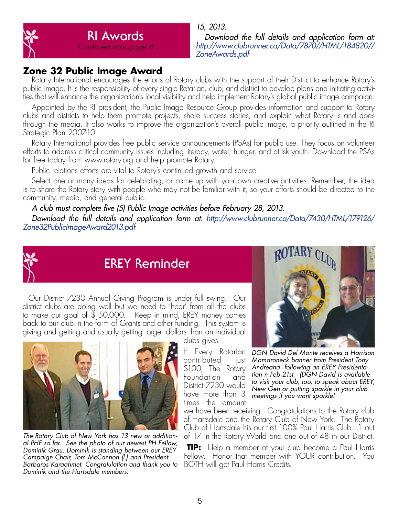

*Download the full details and application form at: http://www.clubrunner.ca/Data/7870//HTML/184820// ZoneAwards.pdf*

#### **Zone 32 Public Image Award**

Rotary International encourages the efforts of Rotary clubs with the support of their District to enhance Rotary's public image. It is the responsibility of every single Rotarian, club, and district to develop plans and initiating activities that will enhance the organization's local visibility and help implement Rotary's global public image campaign.

Appointed by the RI president, the Public Image Resource Group provides information and support to Rotary clubs and districts to help them promote projects, share success stories, and explain what Rotary is and does through the media. It also works to improve the organization's overall public image, a priority outlined in the RI Strategic Plan 2007-10.

Rotary International provides free public service announcements (PSAs) for public use. They focus on volunteer efforts to address critical community issues including literacy, water, hunger, and atrisk youth. Download the PSAs for free today from www.rotary.org and help promote Rotary.

Public relations efforts are vital to Rotary's continued growth and service.

Select one or many ideas for celebrating, or come up with your own creative activities. Remember, the idea is to share the Rotary story with people who may not be familiar with it, so your efforts should be directed to the community, media, and general public.

*A club must complete five (5) Public Image activities before February 28, 2013.* 

*Download the full details and application form at: http://www.clubrunner.ca/Data/7430/HTML/179126/ Zone32PublicImageAward2013.pdf*



### **EREY Reminder**

Our District 7230 Annual Giving Program is under full swing. Our district clubs are doing well but we need to 'hear' from all the clubs to make our goal of \$150,000. Keep in mind, EREY money comes back to our club in the form of Grants and other funding. This system is giving and getting and usually getting larger dollars than an individual



*The Rotary Club of New York has 13 new or additional PHF so far. See the photo of our newest PH Fellow, Dominik Grau. Dominik is standing between our EREY Campaign Chair, Tom McConnon (l.) and President Barbaros Karaahmet. Congratulation and thank you to Dominik and the Hartsdale members.* 

clubs gives.

contributed just \$100, The Rotary<br>Foundation and Foundation District 7230 would have more than 3 times the amount



If Every Rotarian *DGN David Del Monte receives a Harrison Mamaroneck banner from President Tony Andreana following an EREY Presidentation n Feb 21st. (DGN David is available to visit your club, too, to speak about EREY, New Gen or putting sparkle in your club meetings if you want sparkle!*

we have been receiving. Congratulations to the Rotary club of Hartsdale and the Rotary Club of New York. The Rotary Club of Hartsdale his our first 100% Paul Harris Club…1 out of 17 in the Rotary World and one out of 48 in our District.

**TIP:** Help a member of your club become a Paul Harris Fellow. Honor that member with YOUR contribution. You BOTH will get Paul Harris Credits.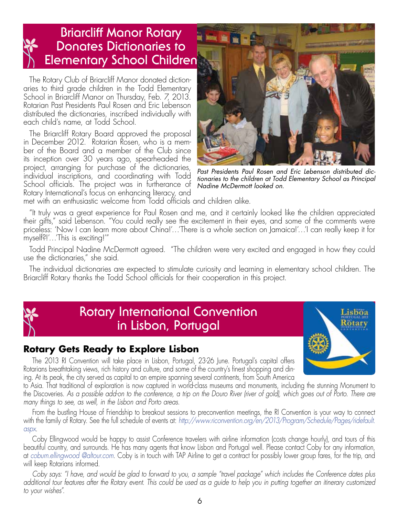## **Briarcliff Manor Rotary Donates Dictionaries to Elementary School Children**

The Rotary Club of Briarcliff Manor donated dictionaries to third grade children in the Todd Elementary School in Briarcliff Manor on Thursday, Feb. 7, 2013. Rotarian Past Presidents Paul Rosen and Eric Lebenson distributed the dictionaries, inscribed individually with each child's name, at Todd School.

The Briarcliff Rotary Board approved the proposal in December 2012. Rotarian Rosen, who is a member of the Board and a member of the Club since its inception over 30 years ago, spearheaded the project, arranging for purchase of the dictionaries, individual inscriptions, and coordinating with Todd School officials. The project was in furtherance of Rotary International's focus on enhancing literacy, and



*Past Presidents Paul Rosen and Eric Lebenson distributed dictionaries to the children at Todd Elementary School as Principal Nadine McDermott looked on.*

met with an enthusiastic welcome from Todd officials and children alike.

"It truly was a great experience for Paul Rosen and me, and it certainly looked like the children appreciated their gifts," said Lebenson. "You could really see the excitement in their eyes, and some of the comments were priceless: 'Now I can learn more about China!'…'There is a whole section on Jamaica!'…'I can really keep it for myself?!'…'This is exciting!'"

Todd Principal Nadine McDermott agreed. "The children were very excited and engaged in how they could use the dictionaries," she said.

The individual dictionaries are expected to stimulate curiosity and learning in elementary school children. The Briarcliff Rotary thanks the Todd School officials for their cooperation in this project.



### **Rotary International Convention in Lisbon, Portugal**



#### **Rotary Gets Ready to Explore Lisbon**

The 2013 RI Convention will take place in Lisbon, Portugal, 23-26 June. Portugal's capital offers Rotarians breathtaking views, rich history and culture, and some of the country's finest shopping and dining. At its peak, the city served as capital to an empire spanning several continents, from South America

to Asia. That traditional of exploration is now captured in world-class museums and monuments, including the stunning Monument to the Discoveries. *As a possible add-on to the conference, a trip on the Douro River (river of gold), which goes out of Porto. There are many things to see, as well, in the Lisbon and Porto areas.*

From the bustling House of Friendship to breakout sessions to preconvention meetings, the RI Convention is your way to connect with the family of Rotary. See the full schedule of events at: *http://www.riconvention.org/en/2013/Program/Schedule/Pages/ridefault. aspx*.

Coby Ellingwood would be happy to assist Conference travelers with airline information (costs change hourly), and tours of this beautiful country, and surrounds. He has many agents that know Lisbon and Portugal well. Please contact Coby for any information, at *coburn.ellingwood @altour.com.* Coby is in touch with TAP Airline to get a contract for possibly lower group fares, for the trip, and will keep Rotarians informed.

*Coby says: "I have, and would be glad to forward to you, a sample "travel package" which includes the Conference dates plus additional tour features after the Rotary event. This could be used as a guide to help you in putting together an itinerary customized to your wishes".*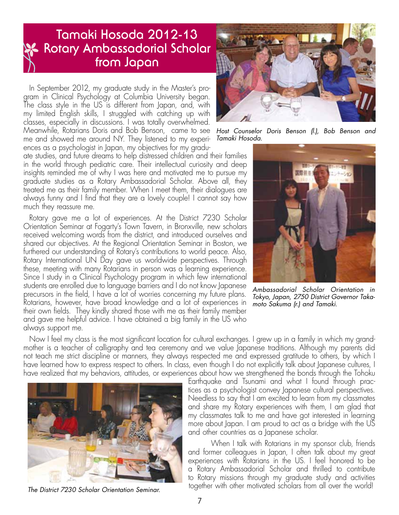### **Tamaki Hosoda 2012-13 Rotary Ambassadorial Scholar from Japan**

In September 2012, my graduate study in the Master's program in Clinical Psychology at Columbia University began. The class style in the US is different from Japan, and, with my limited English skills, I struggled with catching up with classes, especially in discussions. I was totally overwhelmed. Meanwhile, Rotarians Doris and Bob Benson, came to see *Host Counselor Doris Benson (l.), Bob Benson and*  me and showed me around NY. They listened to my experiences as a psychologist in Japan, my objectives for my gradu-

ate studies, and future dreams to help distressed children and their families in the world through pediatric care. Their intellectual curiosity and deep insights reminded me of why I was here and motivated me to pursue my graduate studies as a Rotary Ambassadorial Scholar. Above all, they treated me as their family member. When I meet them, their dialogues are always funny and I find that they are a lovely couple! I cannot say how much they reassure me.

Rotary gave me a lot of experiences. At the District 7230 Scholar Orientation Seminar at Fogarty's Town Tavern, in Bronxville, new scholars received welcoming words from the district, and introduced ourselves and shared our objectives. At the Regional Orientation Seminar in Boston, we furthered our understanding of Rotary's contributions to world peace. Also, Rotary International UN Day gave us worldwide perspectives. Through these, meeting with many Rotarians in person was a learning experience. Since I study in a Clinical Psychology program in which few international students are enrolled due to language barriers and I do not know Japanese precursors in the field, I have a lot of worries concerning my future plans. Rotarians, however, have broad knowledge and a lot of experiences in their own fields. They kindly shared those with me as their family member and gave me helpful advice. I have obtained a big family in the US who always support me.



*Tamaki Hosoda.*



*Ambassadorial Scholar Orientation in Tokyo, Japan, 2750 District Governor Takamoto Sakuma (r.) and Tamaki.*

Now I feel my class is the most significant location for cultural exchanges. I grew up in a family in which my grandmother is a teacher of calligraphy and tea ceremony and we value Japanese traditions. Although my parents did not teach me strict discipline or manners, they always respected me and expressed gratitude to others, by which I have learned how to express respect to others. In class, even though I do not explicitly talk about Japanese cultures, I have realized that my behaviors, attitudes, or experiences about how we strengthened the bonds through the Tohoku



*The District 7230 Scholar Orientation Seminar.*

Earthquake and Tsunami and what I found through practices as a psychologist convey Japanese cultural perspectives. Needless to say that I am excited to learn from my classmates and share my Rotary experiences with them, I am glad that my classmates talk to me and have got interested in learning more about Japan. I am proud to act as a bridge with the US and other countries as a Japanese scholar.

When I talk with Rotarians in my sponsor club, friends and former colleagues in Japan, I often talk about my great experiences with Rotarians in the US. I feel honored to be a Rotary Ambassadorial Scholar and thrilled to contribute to Rotary missions through my graduate study and activities together with other motivated scholars from all over the world!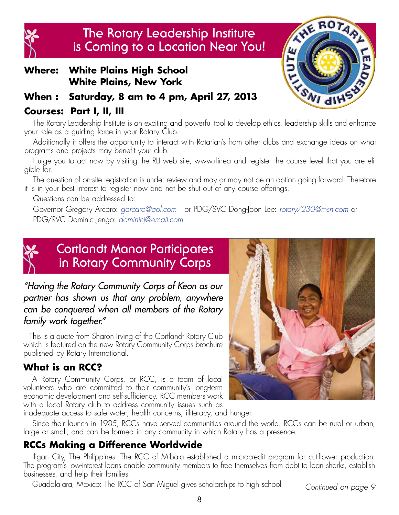

### **The Rotary Leadership Institute is Coming to a Location Near You!**

#### **Where: White Plains High School White Plains, New York**

### **When : Saturday, 8 am to 4 pm, April 27, 2013**

#### **Courses: Part I, II, III**

The Rotary Leadership Institute is an exciting and powerful tool to develop ethics, leadership skills and enhance your role as a guiding force in your Rotary Club.

Additionally it offers the opportunity to interact with Rotarian's from other clubs and exchange ideas on what programs and projects may benefit your club.

I urge you to act now by visiting the RLI web site, www.rlinea and register the course level that you are eligible for.

The question of on-site registration is under review and may or may not be an option going forward. Therefore it is in your best interest to register now and not be shut out of any course offerings.

Questions can be addressed to:

Governor Gregory Arcaro: *garcaro@aol.com* or PDG/SVC Dong-Joon Lee: *rotary7230@msn.com* or PDG/RVC Dominic Jengo: *dominicj@email.com*



## **Cortlandt Manor Participates in Rotary Community Corps**

#### *"Having the Rotary Community Corps of Keon as our partner has shown us that any problem, anywhere can be conquered when all members of the Rotary family work together."*

This is a quote from Sharon Irving of the Cortlandt Rotary Club which is featured on the new Rotary Community Corps brochure published by Rotary International.

### **What is an RCC?**

A Rotary Community Corps, or RCC, is a team of local volunteers who are committed to their community's long-term economic development and self-sufficiency. RCC members work with a local Rotary club to address community issues such as



AVE ROTARY

**TESMI GINE** 

TUTE

inadequate access to safe water, health concerns, illiteracy, and hunger.

Since their launch in 1985, RCCs have served communities around the world. RCCs can be rural or urban, large or small, and can be formed in any community in which Rotary has a presence.

### **RCCs Making a Difference Worldwide**

Iligan City, The Philippines: The RCC of Mibala established a microcredit program for cut-flower production. The program's low-interest loans enable community members to free themselves from debt to loan sharks, establish businesses, and help their families.

Guadalajara, Mexico: The RCC of San Miguel gives scholarships to high school *Continued on page 9*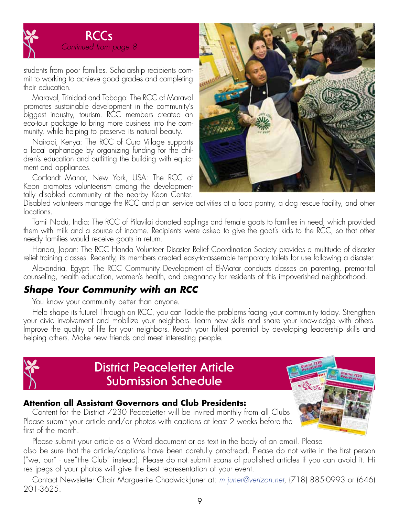

students from poor families. Scholarship recipients commit to working to achieve good grades and completing their education.

Maraval, Trinidad and Tobago: The RCC of Maraval promotes sustainable development in the community's biggest industry, tourism. RCC members created an eco-tour package to bring more business into the community, while helping to preserve its natural beauty.

Nairobi, Kenya: The RCC of Cura Village supports a local orphanage by organizing funding for the children's education and outfitting the building with equipment and appliances.

Cortlandt Manor, New York, USA: The RCC of Keon promotes volunteerism among the developmentally disabled community at the nearby Keon Center.



Disabled volunteers manage the RCC and plan service activities at a food pantry, a dog rescue facility, and other locations.

Tamil Nadu, India: The RCC of Pilavilai donated saplings and female goats to families in need, which provided them with milk and a source of income. Recipients were asked to give the goat's kids to the RCC, so that other needy families would receive goats in return.

Handa, Japan: The RCC Handa Volunteer Disaster Relief Coordination Society provides a multitude of disaster relief training classes. Recently, its members created easy-to-assemble temporary toilets for use following a disaster.

Alexandria, Egypt: The RCC Community Development of El-Matar conducts classes on parenting, premarital counseling, health education, women's health, and pregnancy for residents of this impoverished neighborhood.

#### *Shape Your Community with an RCC*

You know your community better than anyone.

Help shape its future! Through an RCC, you can Tackle the problems facing your community today. Strengthen your civic involvement and mobilize your neighbors. Learn new skills and share your knowledge with others. Improve the quality of life for your neighbors. Reach your fullest potential by developing leadership skills and helping others. Make new friends and meet interesting people.



### **District Peaceletter Article Submission Schedule**

#### **Attention all Assistant Governors and Club Presidents:**

Content for the District 7230 PeaceLetter will be invited monthly from all Clubs Please submit your article and/or photos with captions at least 2 weeks before the first of the month.



Please submit your article as a Word document or as text in the body of an email. Please also be sure that the article/captions have been carefully proofread. Please do not write in the first person ("we, our" - use"tthe Club" instead). Please do not submit scans of published articles if you can avoid it. Hi res jpegs of your photos will give the best representation of your event.

Contact Newsletter Chair Marguerite Chadwick-Juner at: *m.juner@verizon.net*, (718) 885-0993 or (646) 201-3625.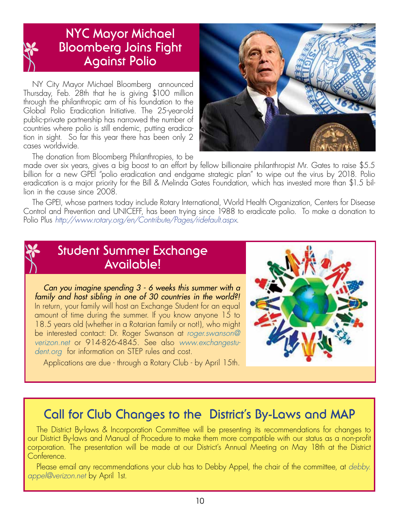

### **NYC Mayor Michael Bloomberg Joins Fight Against Polio**

NY City Mayor Michael Bloomberg announced Thursday, Feb. 28th that he is giving \$100 million through the philanthropic arm of his foundation to the Global Polio Eradication Initiative. The 25-year-old public-private partnership has narrowed the number of countries where polio is still endemic, putting eradication in sight. So far this year there has been only 2 cases worldwide.



The donation from Bloomberg Philanthropies, to be

made over six years, gives a big boost to an effort by fellow billionaire philanthropist Mr. Gates to raise \$5.5 billion for a new GPEI "polio eradication and endgame strategic plan" to wipe out the virus by 2018. Polio eradication is a major priority for the Bill & Melinda Gates Foundation, which has invested more than \$1.5 billion in the cause since 2008.

The GPEI, whose partners today include Rotary International, World Health Organization, Centers for Disease Control and Prevention and UNICEFF, has been trying since 1988 to eradicate polio. To make a donation to Polio Plus *http://www.rotary.org/en/Contribute/Pages/ridefault.aspx*.

### **Student Summer Exchange Available!**

*Can you imagine spending 3 - 6 weeks this summer with a family and host sibling in one of 30 countries in the world?!* In return, your family will host an Exchange Student for an equal amount of time during the summer. If you know anyone 15 to 18.5 years old (whether in a Rotarian family or not!), who might be interested contact: Dr. Roger Swanson at *roger.swanson@ verizon.net* or 914-826-4845. See also *www.exchangestudent.org* for information on STEP rules and cost.

Applications are due - through a Rotary Club - by April 15th.



## **Call for Club Changes to the District's By-Laws and MAP**

The District By-laws & Incorporation Committee will be presenting its recommendations for changes to our District By-laws and Manual of Procedure to make them more compatible with our status as a non-profit corporation. The presentation will be made at our District's Annual Meeting on May 18th at the District Conference.

Please email any recommendations your club has to Debby Appel, the chair of the committee, at *debby. appel@verizon.net* by April 1st.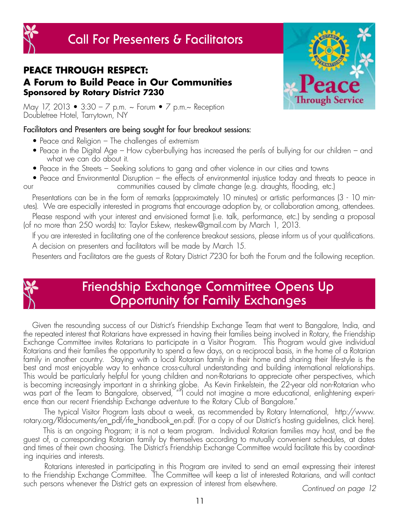# **Call For Presenters & Facilitators**



**PEACE THROUGH RESPECT: A Forum to Build Peace in Our Communities Sponsored by Rotary District 7230**

May 17, 2013 • 3:30 – 7 p.m. ~ Forum • 7 p.m.~ Reception Doubletree Hotel, Tarrytown, NY

#### Facilitators and Presenters are being sought for four breakout sessions:

- Peace and Religion The challenges of extremism
- Peace in the Digital Age How cyber-bullying has increased the perils of bullying for our children and what we can do about it.
- Peace in the Streets Seeking solutions to gang and other violence in our cities and towns
- Peace and Environmental Disruption the effects of environmental injustice today and threats to peace in our communities caused by climate change (e.g. draughts, flooding, etc.)

Presentations can be in the form of remarks (approximately 10 minutes) or artistic performances (3 - 10 minutes). We are especially interested in programs that encourage adoption by, or collaboration among, attendees.

Please respond with your interest and envisioned format (i.e. talk, performance, etc.) by sending a proposal (of no more than 250 words) to: Taylor Eskew, rteskew@gmail.com by March 1, 2013.

If you are interested in facilitating one of the conference breakout sessions, please inform us of your qualifications. A decision on presenters and facilitators will be made by March 15.

Presenters and Facilitators are the guests of Rotary District 7230 for both the Forum and the following reception.



## **Friendship Exchange Committee Opens Up Opportunity for Family Exchanges**

Given the resounding success of our District's Friendship Exchange Team that went to Bangalore, India, and the repeated interest that Rotarians have expressed in having their families being involved in Rotary, the Friendship Exchange Committee invites Rotarians to participate in a Visitor Program. This Program would give individual Rotarians and their families the opportunity to spend a few days, on a reciprocal basis, in the home of a Rotarian family in another country. Staying with a local Rotarian family in their home and sharing their life-style is the best and most enjoyable way to enhance cross-cultural understanding and building international relationships. This would be particularly helpful for young children and non-Rotarians to appreciate other perspectives, which is becoming increasingly important in a shrinking globe. As Kevin Finkelstein, the 22-year old non-Rotarian who was part of the Team to Bangalore, observed, ""I could not imagine a more educational, enlightening experience than our recent Friendship Exchange adventure to the Rotary Club of Bangalore."

 The typical Visitor Program lasts about a week, as recommended by Rotary International, http://www. rotary.org/RIdocuments/en\_pdf/rfe\_handbook\_en.pdf. (For a copy of our District's hosting guidelines, click here).

 This is an ongoing Program; it is not a team program. Individual Rotarian families may host, and be the guest of, a corresponding Rotarian family by themselves according to mutually convenient schedules, at dates and times of their own choosing. The District's Friendship Exchange Committee would facilitate this by coordinating inquiries and interests.

 Rotarians interested in participating in this Program are invited to send an email expressing their interest to the Friendship Exchange Committee. The Committee will keep a list of interested Rotarians, and will contact such persons whenever the District gets an expression of interest from elsewhere. *Continued on page 12*